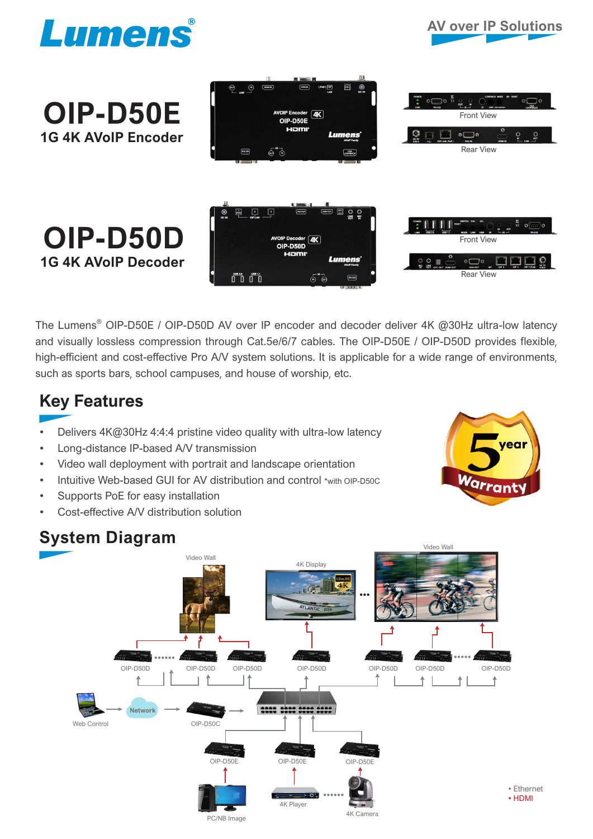





The Lumens<sup>®</sup> OIP-D50E / OIP-D50D AV over IP encoder and decoder deliver 4K @30Hz ultra-low latency and visually lossless compression through Cat.5e/6/7 cables. The OIP-D50E / OIP-D50D provides flexible, high-efficient and cost-effective Pro A/V system solutions. It is applicable for a wide range of environments, such as sports bars, school campuses, and house of worship, etc.

## **Key Features**

- Delivers 4K@30Hz 4:4:4 pristine video quality with ultra-low latency
- Long-distance IP-based A/V transmission
- Video wall deployment with portrait and landscape orientation
- Intuitive Web-based GUI for AV distribution and control \*with OIP-D50C
- Supports PoE for easy installation
- Cost-effective A/V distribution solution



## **System Diagram**